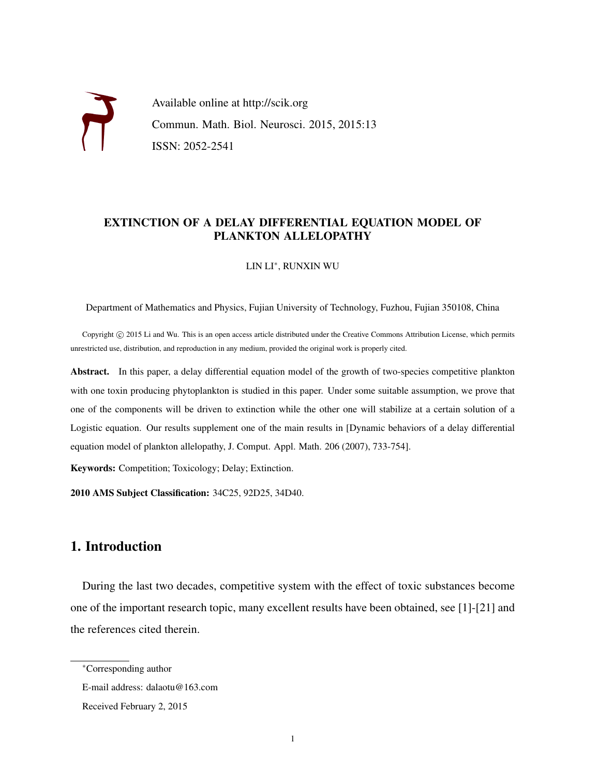Available online at http://scik.org Commun. Math. Biol. Neurosci. 2015, 2015:13 ISSN: 2052-2541

### EXTINCTION OF A DELAY DIFFERENTIAL EQUATION MODEL OF PLANKTON ALLELOPATHY

LIN LI<sup>∗</sup> , RUNXIN WU

Department of Mathematics and Physics, Fujian University of Technology, Fuzhou, Fujian 350108, China

Copyright © 2015 Li and Wu. This is an open access article distributed under the Creative Commons Attribution License, which permits unrestricted use, distribution, and reproduction in any medium, provided the original work is properly cited.

Abstract. In this paper, a delay differential equation model of the growth of two-species competitive plankton with one toxin producing phytoplankton is studied in this paper. Under some suitable assumption, we prove that one of the components will be driven to extinction while the other one will stabilize at a certain solution of a Logistic equation. Our results supplement one of the main results in [Dynamic behaviors of a delay differential equation model of plankton allelopathy, J. Comput. Appl. Math. 206 (2007), 733-754].

Keywords: Competition; Toxicology; Delay; Extinction.

2010 AMS Subject Classification: 34C25, 92D25, 34D40.

# 1. Introduction

During the last two decades, competitive system with the effect of toxic substances become one of the important research topic, many excellent results have been obtained, see [1]-[21] and the references cited therein.

<sup>∗</sup>Corresponding author

E-mail address: dalaotu@163.com

Received February 2, 2015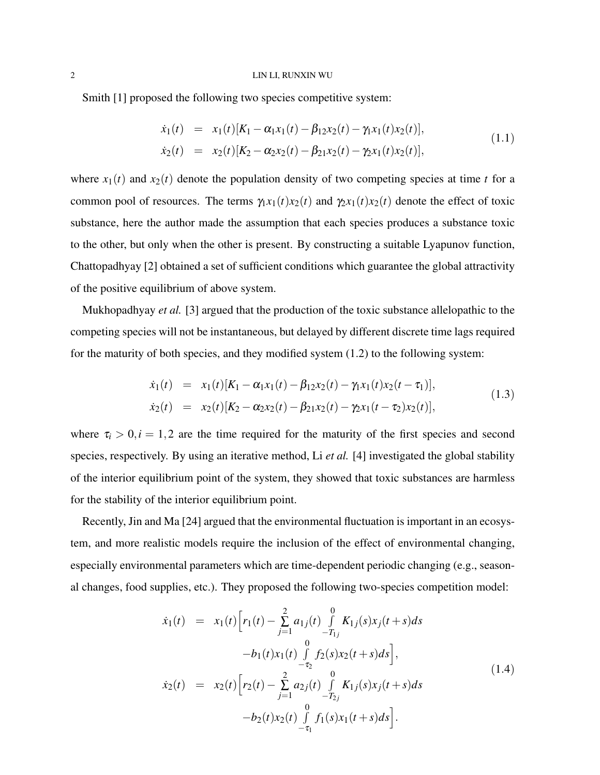#### 2 LIN LI, RUNXIN WU

Smith [1] proposed the following two species competitive system:

$$
\dot{x}_1(t) = x_1(t)[K_1 - \alpha_1 x_1(t) - \beta_1 x_2(t) - \gamma_1 x_1(t) x_2(t)],
$$
  
\n
$$
\dot{x}_2(t) = x_2(t)[K_2 - \alpha_2 x_2(t) - \beta_2 x_2(t) - \gamma_2 x_1(t) x_2(t)],
$$
\n(1.1)

where  $x_1(t)$  and  $x_2(t)$  denote the population density of two competing species at time *t* for a common pool of resources. The terms  $\gamma_1 x_1(t)x_2(t)$  and  $\gamma_2 x_1(t)x_2(t)$  denote the effect of toxic substance, here the author made the assumption that each species produces a substance toxic to the other, but only when the other is present. By constructing a suitable Lyapunov function, Chattopadhyay [2] obtained a set of sufficient conditions which guarantee the global attractivity of the positive equilibrium of above system.

Mukhopadhyay *et al.* [3] argued that the production of the toxic substance allelopathic to the competing species will not be instantaneous, but delayed by different discrete time lags required for the maturity of both species, and they modified system  $(1.2)$  to the following system:

$$
\dot{x}_1(t) = x_1(t)[K_1 - \alpha_1 x_1(t) - \beta_1 x_2(t) - \gamma_1 x_1(t) x_2(t - \tau_1)],
$$
  
\n
$$
\dot{x}_2(t) = x_2(t)[K_2 - \alpha_2 x_2(t) - \beta_2 x_2(t) - \gamma_2 x_1(t - \tau_2) x_2(t)],
$$
\n(1.3)

where  $\tau_i > 0, i = 1, 2$  are the time required for the maturity of the first species and second species, respectively. By using an iterative method, Li *et al.* [4] investigated the global stability of the interior equilibrium point of the system, they showed that toxic substances are harmless for the stability of the interior equilibrium point.

Recently, Jin and Ma [24] argued that the environmental fluctuation is important in an ecosystem, and more realistic models require the inclusion of the effect of environmental changing, especially environmental parameters which are time-dependent periodic changing (e.g., seasonal changes, food supplies, etc.). They proposed the following two-species competition model:

$$
\dot{x}_1(t) = x_1(t) \Big[ r_1(t) - \sum_{j=1}^2 a_{1j}(t) \int_{-T_{1j}}^0 K_{1j}(s) x_j(t+s) ds - b_1(t) x_1(t) \int_{-T_2}^0 f_2(s) x_2(t+s) ds \Big],
$$
\n
$$
\dot{x}_2(t) = x_2(t) \Big[ r_2(t) - \sum_{j=1}^2 a_{2j}(t) \int_{-T_{2j}}^0 K_{1j}(s) x_j(t+s) ds - b_2(t) x_2(t) \int_{-T_1}^0 f_1(s) x_1(t+s) ds \Big].
$$
\n(1.4)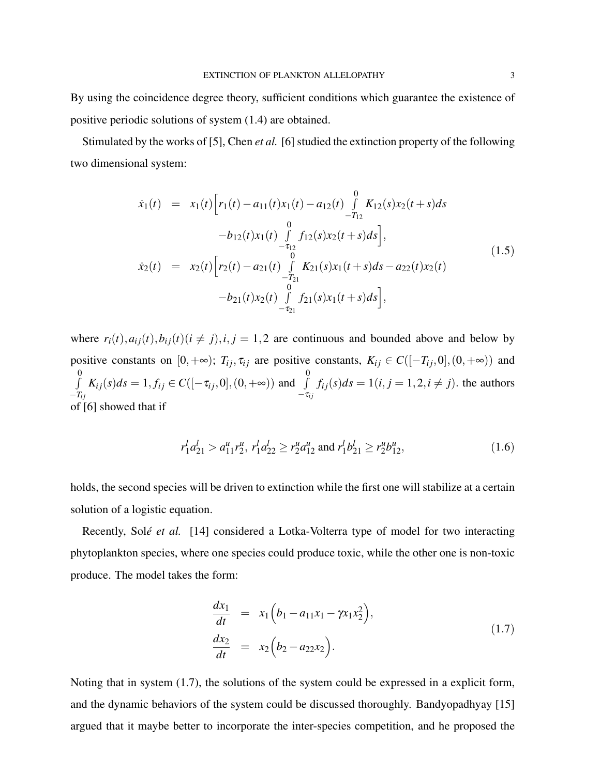By using the coincidence degree theory, sufficient conditions which guarantee the existence of positive periodic solutions of system (1.4) are obtained.

Stimulated by the works of [5], Chen *et al.* [6] studied the extinction property of the following two dimensional system:

$$
\dot{x}_1(t) = x_1(t) \Big[ r_1(t) - a_{11}(t) x_1(t) - a_{12}(t) \int_{-T_{12}}^0 K_{12}(s) x_2(t+s) ds - b_{12}(t) x_1(t) \int_{-T_{12}}^0 f_{12}(s) x_2(t+s) ds \Big],
$$
\n
$$
\dot{x}_2(t) = x_2(t) \Big[ r_2(t) - a_{21}(t) \int_{-T_{21}}^0 K_{21}(s) x_1(t+s) ds - a_{22}(t) x_2(t) - b_{21}(t) x_2(t) \int_{-T_{21}}^0 f_{21}(s) x_1(t+s) ds \Big],
$$
\n(1.5)

where  $r_i(t)$ ,  $a_{ij}(t)$ ,  $b_{ij}(t)$  ( $i \neq j$ ),  $i, j = 1, 2$  are continuous and bounded above and below by positive constants on  $[0, +\infty)$ ;  $T_{ij}$ ,  $\tau_{ij}$  are positive constants,  $K_{ij} \in C([-T_{ij}, 0], (0, +\infty))$  and R 0  $-T_{ij}$  $K_{ij}(s)ds = 1, f_{ij} \in C([-\tau_{ij}, 0], (0, +\infty))$  and  $\int$ 0  $-\tau_{ij}$  $f_{ij}(s)ds = 1(i, j = 1, 2, i \neq j)$ . the authors of [6] showed that if

$$
r_1^l a_{21}^l > a_{11}^u r_2^u, r_1^l a_{22}^l \ge r_2^u a_{12}^u \text{ and } r_1^l b_{21}^l \ge r_2^u b_{12}^u,
$$
\n(1.6)

holds, the second species will be driven to extinction while the first one will stabilize at a certain solution of a logistic equation.

Recently, Solé *et al.* [14] considered a Lotka-Volterra type of model for two interacting phytoplankton species, where one species could produce toxic, while the other one is non-toxic produce. The model takes the form:

$$
\frac{dx_1}{dt} = x_1 \left( b_1 - a_{11} x_1 - \gamma x_1 x_2^2 \right), \n \frac{dx_2}{dt} = x_2 \left( b_2 - a_{22} x_2 \right).
$$
\n(1.7)

Noting that in system (1.7), the solutions of the system could be expressed in a explicit form, and the dynamic behaviors of the system could be discussed thoroughly. Bandyopadhyay [15] argued that it maybe better to incorporate the inter-species competition, and he proposed the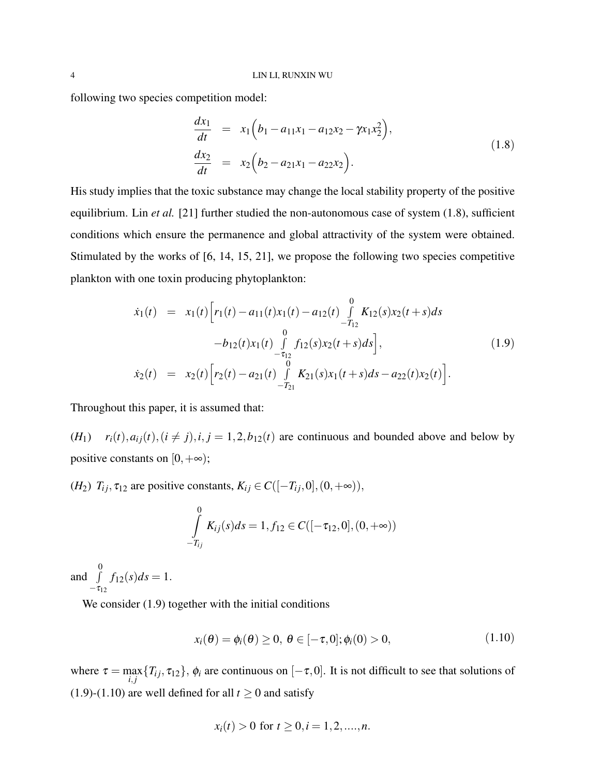following two species competition model:

$$
\frac{dx_1}{dt} = x_1 \left( b_1 - a_{11}x_1 - a_{12}x_2 - \gamma x_1 x_2^2 \right), \n \frac{dx_2}{dt} = x_2 \left( b_2 - a_{21}x_1 - a_{22}x_2 \right).
$$
\n(1.8)

His study implies that the toxic substance may change the local stability property of the positive equilibrium. Lin *et al.* [21] further studied the non-autonomous case of system (1.8), sufficient conditions which ensure the permanence and global attractivity of the system were obtained. Stimulated by the works of [6, 14, 15, 21], we propose the following two species competitive plankton with one toxin producing phytoplankton:

$$
\dot{x}_1(t) = x_1(t) \Big[ r_1(t) - a_{11}(t) x_1(t) - a_{12}(t) \int_{-T_{12}}^0 K_{12}(s) x_2(t+s) ds -b_{12}(t) x_1(t) \int_{-T_{12}}^0 f_{12}(s) x_2(t+s) ds \Big],
$$
\n
$$
\dot{x}_2(t) = x_2(t) \Big[ r_2(t) - a_{21}(t) \int_{-T_{21}}^0 K_{21}(s) x_1(t+s) ds - a_{22}(t) x_2(t) \Big].
$$
\n(1.9)

Throughout this paper, it is assumed that:

 $(r+1)$   $r_i(t), a_{ij}(t), (i \neq j), i, j = 1, 2, b_{12}(t)$  are continuous and bounded above and below by positive constants on  $[0, +\infty)$ ;

(*H*<sub>2</sub>)  $T_{ij}$ ,  $\tau_{12}$  are positive constants,  $K_{ij} \in C([-T_{ij},0], (0,+\infty))$ ,

$$
\int_{-T_{ij}}^{0} K_{ij}(s)ds = 1, f_{12} \in C([-\tau_{12},0], (0,+\infty))
$$

and  $\int$ 0  $-\tau_{12}$  $f_{12}(s)ds = 1.$ 

We consider (1.9) together with the initial conditions

$$
x_i(\theta) = \phi_i(\theta) \ge 0, \ \theta \in [-\tau, 0]; \phi_i(0) > 0,
$$
\n(1.10)

where  $\tau = \max_{i,j} \{T_{ij}, \tau_{12}\}, \phi_i$  are continuous on  $[-\tau, 0]$ . It is not difficult to see that solutions of (1.9)-(1.10) are well defined for all  $t \ge 0$  and satisfy

$$
x_i(t) > 0
$$
 for  $t \ge 0, i = 1, 2, \ldots, n$ .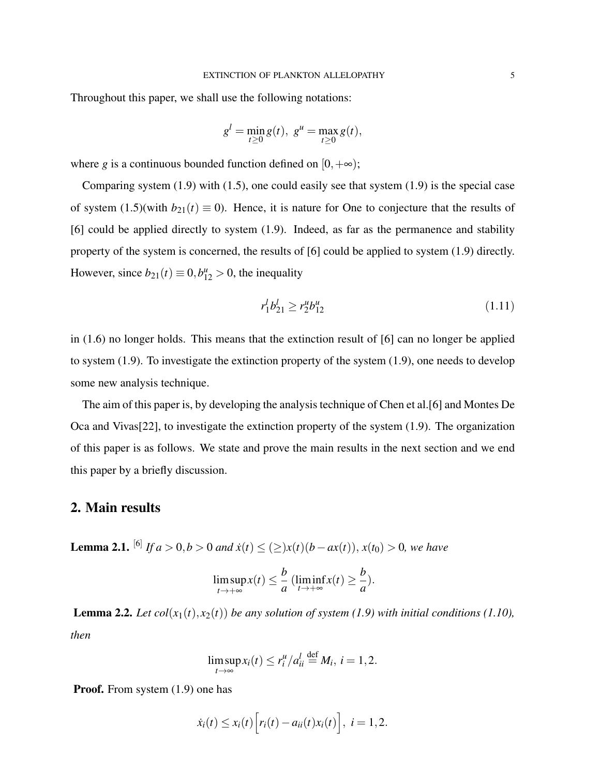Throughout this paper, we shall use the following notations:

$$
g^{l} = \min_{t \geq 0} g(t), \ g^{u} = \max_{t \geq 0} g(t),
$$

where *g* is a continuous bounded function defined on  $[0, +\infty)$ ;

Comparing system (1.9) with (1.5), one could easily see that system (1.9) is the special case of system  $(1.5)$ (with  $b_{21}(t) \equiv 0$ ). Hence, it is nature for One to conjecture that the results of [6] could be applied directly to system (1.9). Indeed, as far as the permanence and stability property of the system is concerned, the results of [6] could be applied to system (1.9) directly. However, since  $b_{21}(t) \equiv 0, b_{12}^u > 0$ , the inequality

$$
r_1^l b_{21}^l \ge r_2^u b_{12}^u \tag{1.11}
$$

in (1.6) no longer holds. This means that the extinction result of [6] can no longer be applied to system (1.9). To investigate the extinction property of the system (1.9), one needs to develop some new analysis technique.

The aim of this paper is, by developing the analysis technique of Chen et al.[6] and Montes De Oca and Vivas[22], to investigate the extinction property of the system (1.9). The organization of this paper is as follows. We state and prove the main results in the next section and we end this paper by a briefly discussion.

## 2. Main results

**Lemma 2.1.** <sup>[6]</sup> *If a* > 0,*b* > 0 *and*  $\dot{x}(t)$  ≤ (≥) $x(t)$ (*b*−*ax*(*t*)),  $x(t_0)$  > 0, we have

$$
\limsup_{t \to +\infty} x(t) \leq \frac{b}{a} \left( \liminf_{t \to +\infty} x(t) \geq \frac{b}{a} \right).
$$

**Lemma 2.2.** *Let*  $col(x_1(t), x_2(t))$  *be any solution of system* (1.9) with initial conditions (1.10), *then*

$$
\limsup_{t\to\infty} x_i(t)\leq r_i^u/a_{ii}^l\stackrel{\text{def}}{=} M_i,\ i=1,2.
$$

**Proof.** From system  $(1.9)$  one has

$$
\dot{x}_i(t) \leq x_i(t) \Big[ r_i(t) - a_{ii}(t) x_i(t) \Big], i = 1, 2.
$$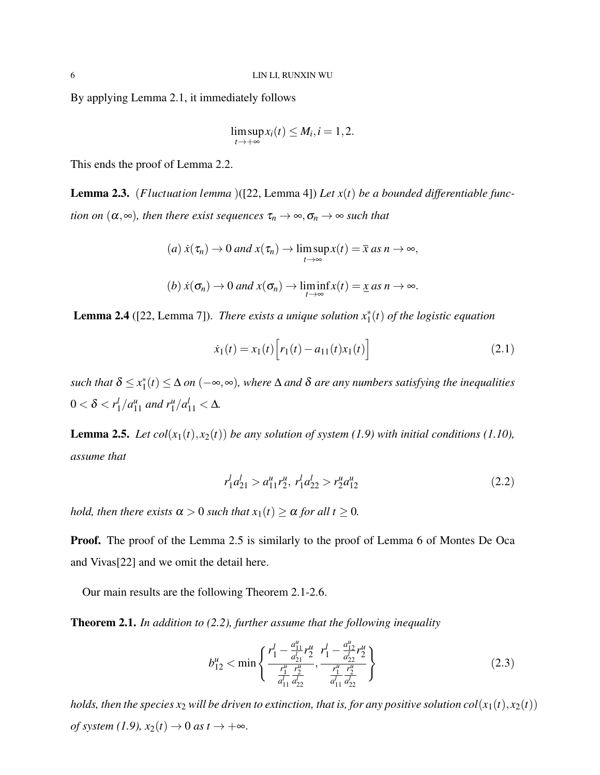By applying Lemma 2.1, it immediately follows

$$
\limsup_{t\to+\infty}x_i(t)\leq M_i, i=1,2.
$$

This ends the proof of Lemma 2.2.

Lemma 2.3. (*Fluctuation lemma* )([22, Lemma 4]) *Let x*(*t*) *be a bounded differentiable function on*  $(\alpha, \infty)$ *, then there exist sequences*  $\tau_n \to \infty$ *,*  $\sigma_n \to \infty$  *such that* 

$$
(a) \dot{x}(\tau_n) \to 0 \text{ and } x(\tau_n) \to \limsup_{t \to \infty} x(t) = \bar{x} \text{ as } n \to \infty,
$$
  

$$
(b) \dot{x}(\sigma_n) \to 0 \text{ and } x(\sigma_n) \to \liminf_{t \to \infty} x(t) = \underline{x} \text{ as } n \to \infty.
$$

**Lemma 2.4** ([22, Lemma 7]). *There exists a unique solution*  $x_1^*(t)$  *of the logistic equation* 

$$
\dot{x}_1(t) = x_1(t) \Big[ r_1(t) - a_{11}(t) x_1(t) \Big] \tag{2.1}
$$

*such that*  $\delta \leq x_1^*$ 1 (*t*) ≤ ∆ *on* (−∞,∞)*, where* ∆ *and* δ *are any numbers satisfying the inequalities*  $0<\delta < r^l_1$  $\int_1^l/a_{11}^u$  and  $r_1^u/a_{11}^l < \Delta$ .

**Lemma 2.5.** *Let col*( $x_1(t)$ ,  $x_2(t)$ ) *be any solution of system* (1.9) with initial conditions (1.10), *assume that*

$$
r_1^l a_{21}^l > a_{11}^u r_2^u, r_1^l a_{22}^l > r_2^u a_{12}^u \tag{2.2}
$$

*hold, then there exists*  $\alpha > 0$  *such that*  $x_1(t) \geq \alpha$  *for all*  $t \geq 0$ *.* 

Proof. The proof of the Lemma 2.5 is similarly to the proof of Lemma 6 of Montes De Oca and Vivas[22] and we omit the detail here.

Our main results are the following Theorem 2.1-2.6.

Theorem 2.1. *In addition to (2.2), further assume that the following inequality*

$$
b_{12}^u < \min\left\{\frac{r_1^l - \frac{a_{11}^u}{d_{21}^l} r_2^u}{\frac{r_1^u}{d_{11}^l} \frac{r_2^u}{d_{22}^l}}, \frac{r_1^l - \frac{a_{12}^u}{d_{22}^l} r_2^u}{\frac{r_1^u}{d_{11}^l} \frac{r_2^u}{d_{22}^l}}\right\} \tag{2.3}
$$

*holds, then the species*  $x_2$  *will be driven to extinction, that is, for any positive solution col(* $x_1(t)$ *,*  $x_2(t)$ *) of system (1.9),*  $x_2(t) \rightarrow 0$  *as*  $t \rightarrow +\infty$ .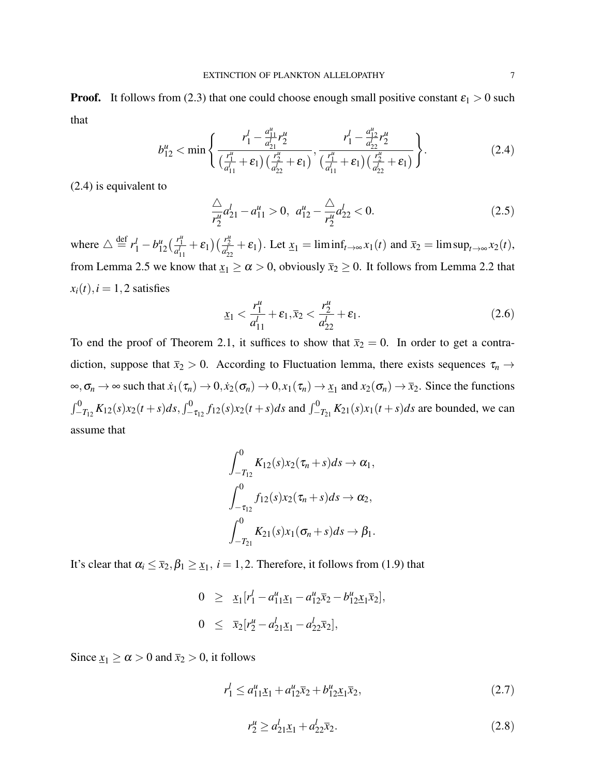**Proof.** It follows from (2.3) that one could choose enough small positive constant  $\varepsilon_1 > 0$  such that

$$
b_{12}^u < \min\left\{\frac{r_1^l - \frac{a_{11}^u}{a_{21}^l}r_2^u}{\left(\frac{r_1^u}{a_{11}^l} + \varepsilon_1\right)\left(\frac{r_2^u}{a_{22}^l} + \varepsilon_1\right)}, \frac{r_1^l - \frac{a_{12}^u}{a_{22}^l}r_2^u}{\left(\frac{r_1^u}{a_{11}^l} + \varepsilon_1\right)\left(\frac{r_2^u}{a_{22}^l} + \varepsilon_1\right)}\right\}.
$$
\n(2.4)

(2.4) is equivalent to

$$
\frac{\triangle}{r_2^u} a_{21}^l - a_{11}^u > 0, \ a_{12}^u - \frac{\triangle}{r_2^u} a_{22}^l < 0. \tag{2.5}
$$

where  $\triangle \stackrel{\text{def}}{=} r_1^l - b_{12}^u \left( \frac{r_1^u}{a_{11}^l} + \varepsilon_1 \right) \left( \frac{r_2^u}{a_{22}^l} + \varepsilon_1 \right)$ . Let  $\underline{x}_1 = \liminf_{t \to \infty} x_1(t)$  and  $\overline{x}_2 = \limsup_{t \to \infty} x_2(t)$ , from Lemma 2.5 we know that  $x_1 \ge \alpha > 0$ , obviously  $\bar{x}_2 \ge 0$ . It follows from Lemma 2.2 that  $x_i(t), i = 1, 2$  satisfies

$$
\underline{x}_1 < \frac{r_1^u}{a_{11}^l} + \varepsilon_1, \overline{x}_2 < \frac{r_2^u}{a_{22}^l} + \varepsilon_1. \tag{2.6}
$$

To end the proof of Theorem 2.1, it suffices to show that  $\bar{x}_2 = 0$ . In order to get a contradiction, suppose that  $\bar{x}_2 > 0$ . According to Fluctuation lemma, there exists sequences  $\tau_n \to$  $\infty, \sigma_n \to \infty$  such that  $\dot{x}_1(\tau_n) \to 0, \dot{x}_2(\sigma_n) \to 0, x_1(\tau_n) \to \underline{x}_1$  and  $x_2(\sigma_n) \to \overline{x}_2$ . Since the functions  $\int_{-T_{12}}^{0} K_{12}(s)x_2(t+s)ds$ ,  $\int_{-\tau_{12}}^{0} f_{12}(s)x_2(t+s)ds$  and  $\int_{-T_{21}}^{0} K_{21}(s)x_1(t+s)ds$  are bounded, we can assume that

$$
\int_{-T_{12}}^{0} K_{12}(s)x_2(\tau_n + s)ds \to \alpha_1,
$$
  

$$
\int_{-\tau_{12}}^{0} f_{12}(s)x_2(\tau_n + s)ds \to \alpha_2,
$$
  

$$
\int_{-T_{21}}^{0} K_{21}(s)x_1(\sigma_n + s)ds \to \beta_1.
$$

It's clear that  $\alpha_i \leq \bar{x}_2, \beta_1 \geq \underline{x}_1, i = 1, 2$ . Therefore, it follows from (1.9) that

$$
0 \geq \underline{x}_1[r_1^l - a_{11}^u \underline{x}_1 - a_{12}^u \overline{x}_2 - b_{12}^u \underline{x}_1 \overline{x}_2],
$$
  

$$
0 \leq \overline{x}_2[r_2^u - a_{21}^l \underline{x}_1 - a_{22}^l \overline{x}_2],
$$

Since  $x_1 \ge \alpha > 0$  and  $\bar{x}_2 > 0$ , it follows

$$
r_1^l \le a_{11}^u \underline{x}_1 + a_{12}^u \overline{x}_2 + b_{12}^u \underline{x}_1 \overline{x}_2, \tag{2.7}
$$

$$
r_2^{\mu} \ge a_{21}^l \underline{x}_1 + a_{22}^l \overline{x}_2. \tag{2.8}
$$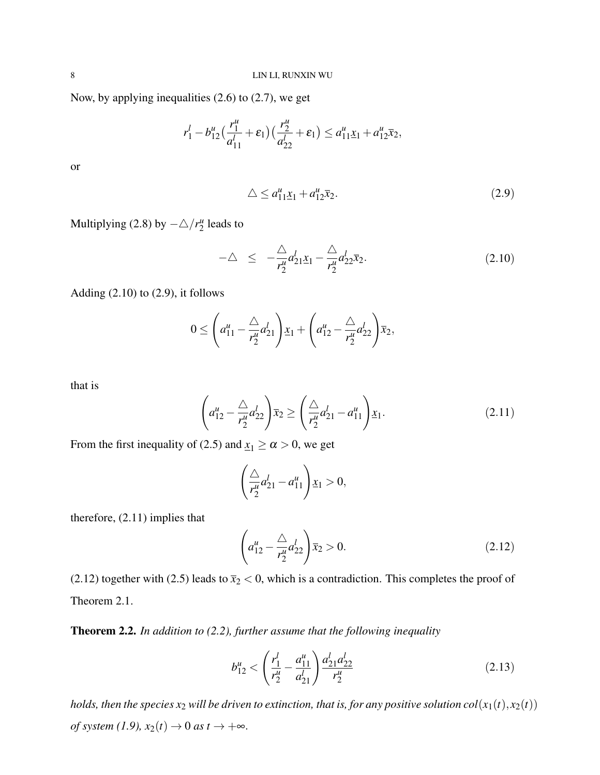Now, by applying inequalities (2.6) to (2.7), we get

$$
r_1^l - b_{12}^u \left( \frac{r_1^u}{a_{11}^l} + \varepsilon_1 \right) \left( \frac{r_2^u}{a_{22}^l} + \varepsilon_1 \right) \le a_{11}^u \underline{x}_1 + a_{12}^u \overline{x}_2,
$$

or

$$
\triangle \le a_{11}^u \underline{x}_1 + a_{12}^u \overline{x}_2. \tag{2.9}
$$

Multiplying (2.8) by  $-\triangle/r_2^u$  $\frac{u}{2}$  leads to

$$
-\Delta \leq -\frac{\Delta}{r_2^u} a_{21}^l \underline{x}_1 - \frac{\Delta}{r_2^u} a_{22}^l \overline{x}_2. \tag{2.10}
$$

Adding  $(2.10)$  to  $(2.9)$ , it follows

$$
0 \leq \left(a_{11}^u - \frac{\triangle}{r_2^u} a_{21}^l\right) \underline{x}_1 + \left(a_{12}^u - \frac{\triangle}{r_2^u} a_{22}^l\right) \overline{x}_2,
$$

that is

$$
\left(a_{12}^u - \frac{\triangle}{r_2^u} a_{22}^l\right) \bar{x}_2 \ge \left(\frac{\triangle}{r_2^u} a_{21}^l - a_{11}^u\right) \underline{x}_1. \tag{2.11}
$$

From the first inequality of (2.5) and  $x_1 \ge \alpha > 0$ , we get

$$
\left(\frac{\triangle}{r_2^u}a_{21}^l - a_{11}^u\right)\underline{x}_1 > 0,
$$

therefore, (2.11) implies that

$$
\left(a_{12}^u - \frac{\triangle}{r_2^u} a_{22}^l\right) \overline{x}_2 > 0. \tag{2.12}
$$

(2.12) together with (2.5) leads to  $\bar{x}_2 < 0$ , which is a contradiction. This completes the proof of Theorem 2.1.

Theorem 2.2. *In addition to (2.2), further assume that the following inequality*

$$
b_{12}^u < \left(\frac{r_1^l}{r_2^u} - \frac{a_{11}^u}{a_{21}^l}\right) \frac{a_{21}^l a_{22}^l}{r_2^u} \tag{2.13}
$$

*holds, then the species*  $x_2$  *will be driven to extinction, that is, for any positive solution col(* $x_1(t)$ *,*  $x_2(t)$ *) of system (1.9),*  $x_2(t) \rightarrow 0$  *as*  $t \rightarrow +\infty$ .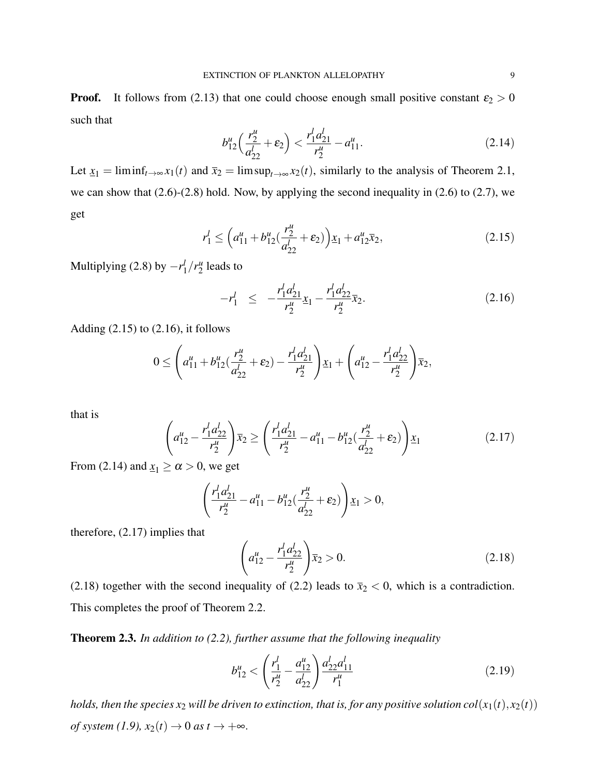**Proof.** It follows from (2.13) that one could choose enough small positive constant  $\varepsilon_2 > 0$ such that

$$
b_{12}^u \left( \frac{r_2^u}{a_{22}^l} + \varepsilon_2 \right) < \frac{r_1^l a_{21}^l}{r_2^u} - a_{11}^u. \tag{2.14}
$$

Let  $\underline{x}_1 = \liminf_{t \to \infty} x_1(t)$  and  $\overline{x}_2 = \limsup_{t \to \infty} x_2(t)$ , similarly to the analysis of Theorem 2.1, we can show that  $(2.6)-(2.8)$  hold. Now, by applying the second inequality in  $(2.6)$  to  $(2.7)$ , we get

$$
r_1^l \le \left(a_{11}^u + b_{12}^u \left(\frac{r_2^u}{a_{22}^l} + \varepsilon_2\right)\right) x_1 + a_{12}^u \overline{x}_2,\tag{2.15}
$$

Multiplying (2.8) by −*r l*  $\frac{1}{1}/r_2^u$  $\frac{u}{2}$  leads to

$$
-r_1^l \le -\frac{r_1^l a_{21}^l}{r_2^u} x_1 - \frac{r_1^l a_{22}^l}{r_2^u} \overline{x}_2. \tag{2.16}
$$

Adding  $(2.15)$  to  $(2.16)$ , it follows

$$
0 \leq \left(a_{11}^u + b_{12}^u(\frac{r_2^u}{d_{22}^l} + \varepsilon_2) - \frac{r_1^l a_{21}^l}{r_2^u}\right) \underline{x}_1 + \left(a_{12}^u - \frac{r_1^l a_{22}^l}{r_2^u}\right) \overline{x}_2,
$$

that is

$$
\left(a_{12}^u - \frac{r_1^l a_{22}^l}{r_2^u}\right)\bar{x}_2 \ge \left(\frac{r_1^l a_{21}^l}{r_2^u} - a_{11}^u - b_{12}^u(\frac{r_2^u}{a_{22}^l} + \varepsilon_2)\right)\underline{x}_1\tag{2.17}
$$

From (2.14) and  $\underline{x}_1 \ge \alpha > 0$ , we get

$$
\left(\frac{r_1^l a_{21}^l}{r_2^u}-a_{11}^u-b_{12}^u(\frac{r_2^u}{a_{22}^l}+\varepsilon_2)\right)\underline{x}_1>0,
$$

therefore, (2.17) implies that

$$
\left(a_{12}^u - \frac{r_1^l a_{22}^l}{r_2^u}\right)\bar{x}_2 > 0.
$$
\n(2.18)

(2.18) together with the second inequality of (2.2) leads to  $\bar{x}_2 < 0$ , which is a contradiction. This completes the proof of Theorem 2.2.

Theorem 2.3. *In addition to (2.2), further assume that the following inequality*

$$
b_{12}^u < \left(\frac{r_1^l}{r_2^u} - \frac{a_{12}^u}{a_{22}^l}\right) \frac{a_{22}^l a_{11}^l}{r_1^u} \tag{2.19}
$$

*holds, then the species*  $x_2$  *will be driven to extinction, that is, for any positive solution col(* $x_1(t)$ *,*  $x_2(t)$ *) of system (1.9),*  $x_2(t) \rightarrow 0$  *as*  $t \rightarrow +\infty$ .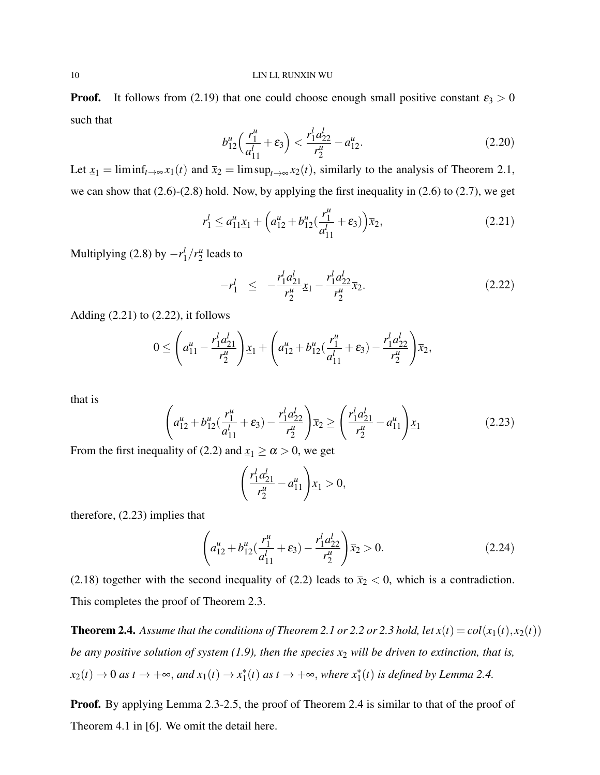**Proof.** It follows from (2.19) that one could choose enough small positive constant  $\varepsilon_3 > 0$ such that

$$
b_{12}^u \left( \frac{r_1^u}{a_{11}^l} + \varepsilon_3 \right) < \frac{r_1^l a_{22}^l}{r_2^u} - a_{12}^u. \tag{2.20}
$$

Let  $\underline{x}_1 = \liminf_{t \to \infty} x_1(t)$  and  $\overline{x}_2 = \limsup_{t \to \infty} x_2(t)$ , similarly to the analysis of Theorem 2.1, we can show that (2.6)-(2.8) hold. Now, by applying the first inequality in (2.6) to (2.7), we get

$$
r_1^l \le a_{11}^u \underline{x}_1 + \left(a_{12}^u + b_{12}^u \left(\frac{r_1^u}{a_{11}^l} + \varepsilon_3\right)\right) \overline{x}_2,\tag{2.21}
$$

Multiplying (2.8) by −*r l*  $\frac{1}{1}/r_2^u$  $\frac{u}{2}$  leads to

$$
-r_1^l \le -\frac{r_1^l a_{21}^l}{r_2^u} x_1 - \frac{r_1^l a_{22}^l}{r_2^u} \overline{x}_2. \tag{2.22}
$$

Adding  $(2.21)$  to  $(2.22)$ , it follows

$$
0 \leq \left(a_{11}^u - \frac{r_1^l a_{21}^l}{r_2^u}\right) \underline{x}_1 + \left(a_{12}^u + b_{12}^u(\frac{r_1^u}{a_{11}^l} + \varepsilon_3) - \frac{r_1^l a_{22}^l}{r_2^u}\right) \overline{x}_2,
$$

that is

$$
\left(a_{12}^u + b_{12}^u \left(\frac{r_1^u}{a_{11}^l} + \varepsilon_3\right) - \frac{r_1^l a_{22}^l}{r_2^u}\right) \bar{x}_2 \ge \left(\frac{r_1^l a_{21}^l}{r_2^u} - a_{11}^u\right) \underline{x}_1\tag{2.23}
$$

From the first inequality of (2.2) and  $x_1 \ge \alpha > 0$ , we get

$$
\left(\frac{r_1^l a_{21}^l}{r_2^u}-a_{11}^u\right)\underline{x}_1 > 0,
$$

therefore, (2.23) implies that

$$
\left(a_{12}^u + b_{12}^u \left(\frac{r_1^u}{a_{11}^l} + \varepsilon_3\right) - \frac{r_1^l a_{22}^l}{r_2^u}\right) \overline{x}_2 > 0. \tag{2.24}
$$

(2.18) together with the second inequality of (2.2) leads to  $\bar{x}_2 < 0$ , which is a contradiction. This completes the proof of Theorem 2.3.

**Theorem 2.4.** Assume that the conditions of Theorem 2.1 or 2.2 or 2.3 hold, let  $x(t) = col(x_1(t), x_2(t))$ *be any positive solution of system (1.9), then the species x*<sup>2</sup> *will be driven to extinction, that is,*  $x_2(t) \rightarrow 0$  *as*  $t \rightarrow +\infty$ , *and*  $x_1(t) \rightarrow x_1^*$ <sup>\*</sup><sub>1</sub>(*t*) *as t* →  $+\infty$ , *where*  $x_1^*(t)$  *is defined by Lemma 2.4.* 

Proof. By applying Lemma 2.3-2.5, the proof of Theorem 2.4 is similar to that of the proof of Theorem 4.1 in [6]. We omit the detail here.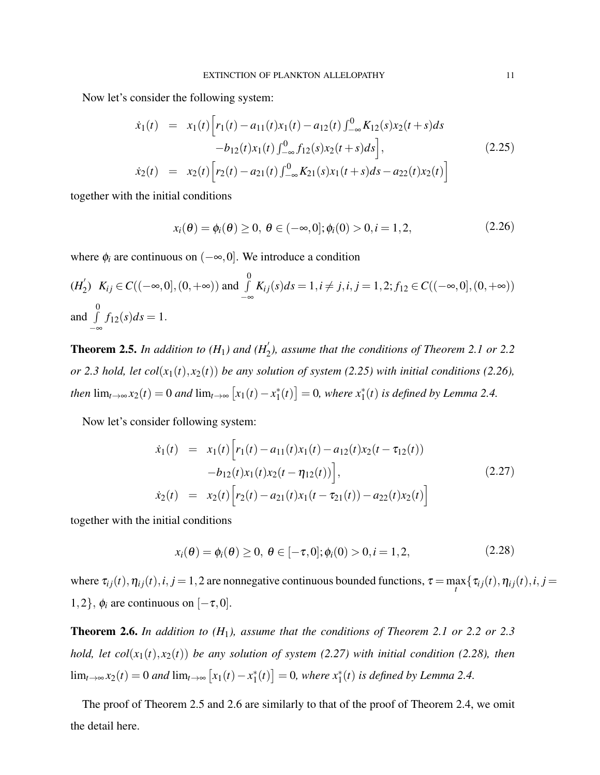Now let's consider the following system:

$$
\dot{x}_1(t) = x_1(t) \Big[ r_1(t) - a_{11}(t)x_1(t) - a_{12}(t) \int_{-\infty}^0 K_{12}(s)x_2(t+s)ds \n- b_{12}(t)x_1(t) \int_{-\infty}^0 f_{12}(s)x_2(t+s)ds \Big],
$$
\n(2.25)  
\n
$$
\dot{x}_2(t) = x_2(t) \Big[ r_2(t) - a_{21}(t) \int_{-\infty}^0 K_{21}(s)x_1(t+s)ds - a_{22}(t)x_2(t) \Big]
$$

together with the initial conditions

$$
x_i(\theta) = \phi_i(\theta) \ge 0, \ \theta \in (-\infty, 0]; \phi_i(0) > 0, i = 1, 2,
$$
 (2.26)

where  $\phi_i$  are continuous on  $(-\infty, 0]$ . We introduce a condition

$$
(H_2')\ K_{ij} \in C((-\infty,0],(0,+\infty)) \text{ and } \int_{-\infty}^0 K_{ij}(s)ds = 1, i \neq j, i, j = 1,2; f_{12} \in C((-\infty,0],(0,+\infty))
$$
  
and 
$$
\int_{-\infty}^0 f_{12}(s)ds = 1.
$$

**Theorem 2.5.** In addition to  $(H_1)$  and  $(H_2)$ , assume that the conditions of Theorem 2.1 or 2.2 *or* 2.3 hold, let col( $x_1(t)$ ,  $x_2(t)$ ) *be any solution of system* (2.25) with initial conditions (2.26), *then*  $\lim_{t\to\infty} x_2(t) = 0$  *and*  $\lim_{t\to\infty} [x_1(t) - x_1^*]$  $\binom{1}{1}(t)$  = 0, where  $x_1^*(t)$  is defined by Lemma 2.4.

Now let's consider following system:

$$
\dot{x}_1(t) = x_1(t) \Big[ r_1(t) - a_{11}(t) x_1(t) - a_{12}(t) x_2(t - \tau_{12}(t)) -b_{12}(t) x_1(t) x_2(t - \eta_{12}(t)) \Big],
$$
\n
$$
\dot{x}_2(t) = x_2(t) \Big[ r_2(t) - a_{21}(t) x_1(t - \tau_{21}(t)) - a_{22}(t) x_2(t) \Big]
$$
\n(2.27)

together with the initial conditions

$$
x_i(\theta) = \phi_i(\theta) \ge 0, \ \theta \in [-\tau, 0]; \phi_i(0) > 0, i = 1, 2,
$$
\n(2.28)

where  $\tau_{ij}(t)$ ,  $\eta_{ij}(t)$ ,  $i, j = 1, 2$  are nonnegative continuous bounded functions,  $\tau = \max_{t} {\tau_{ij}(t), \eta_{ij}(t), i, j = 1, 2}$ 1,2},  $\phi_i$  are continuous on  $[-\tau,0]$ .

Theorem 2.6. *In addition to (H*1*), assume that the conditions of Theorem 2.1 or 2.2 or 2.3 hold, let col*( $x_1(t)$ ,  $x_2(t)$ ) *be any solution of system (2.27) with initial condition (2.28), then*  $\lim_{t\to\infty} x_2(t) = 0$  *and*  $\lim_{t\to\infty} [x_1(t) - x_1^*]$  $\binom{1}{1}(t)$  = 0, where  $x_1^*(t)$  is defined by Lemma 2.4.

The proof of Theorem 2.5 and 2.6 are similarly to that of the proof of Theorem 2.4, we omit the detail here.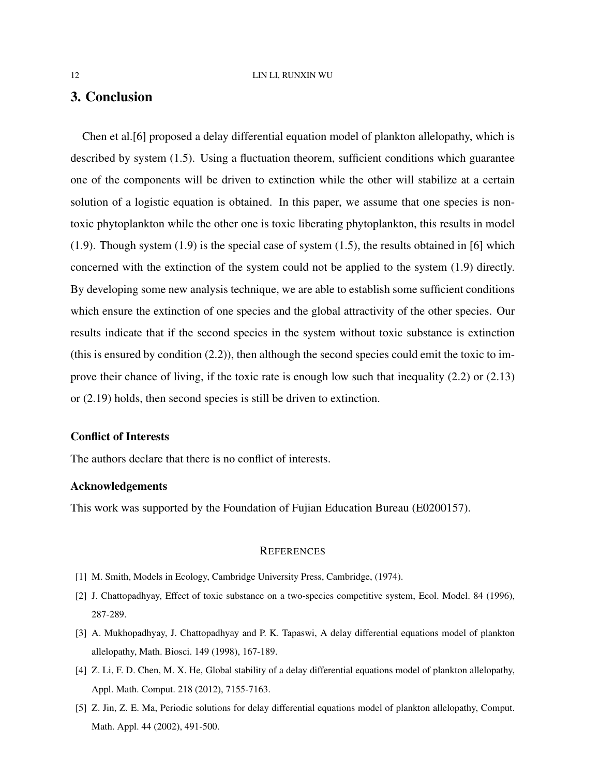# 3. Conclusion

Chen et al.[6] proposed a delay differential equation model of plankton allelopathy, which is described by system (1.5). Using a fluctuation theorem, sufficient conditions which guarantee one of the components will be driven to extinction while the other will stabilize at a certain solution of a logistic equation is obtained. In this paper, we assume that one species is nontoxic phytoplankton while the other one is toxic liberating phytoplankton, this results in model (1.9). Though system (1.9) is the special case of system (1.5), the results obtained in [6] which concerned with the extinction of the system could not be applied to the system (1.9) directly. By developing some new analysis technique, we are able to establish some sufficient conditions which ensure the extinction of one species and the global attractivity of the other species. Our results indicate that if the second species in the system without toxic substance is extinction (this is ensured by condition (2.2)), then although the second species could emit the toxic to improve their chance of living, if the toxic rate is enough low such that inequality (2.2) or (2.13) or (2.19) holds, then second species is still be driven to extinction.

### Conflict of Interests

The authors declare that there is no conflict of interests.

### Acknowledgements

This work was supported by the Foundation of Fujian Education Bureau (E0200157).

### **REFERENCES**

- [1] M. Smith, Models in Ecology, Cambridge University Press, Cambridge, (1974).
- [2] J. Chattopadhyay, Effect of toxic substance on a two-species competitive system, Ecol. Model. 84 (1996), 287-289.
- [3] A. Mukhopadhyay, J. Chattopadhyay and P. K. Tapaswi, A delay differential equations model of plankton allelopathy, Math. Biosci. 149 (1998), 167-189.
- [4] Z. Li, F. D. Chen, M. X. He, Global stability of a delay differential equations model of plankton allelopathy, Appl. Math. Comput. 218 (2012), 7155-7163.
- [5] Z. Jin, Z. E. Ma, Periodic solutions for delay differential equations model of plankton allelopathy, Comput. Math. Appl. 44 (2002), 491-500.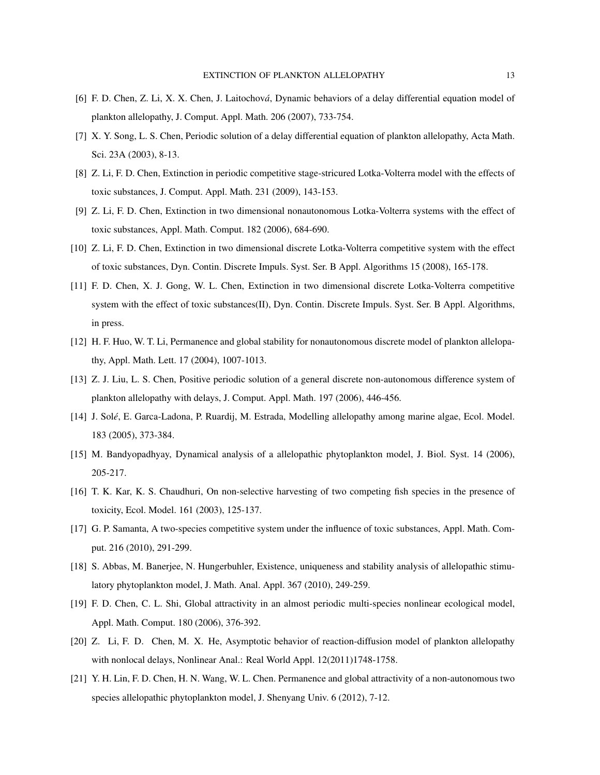- [6] F. D. Chen, Z. Li, X. X. Chen, J. Laitochová, Dynamic behaviors of a delay differential equation model of plankton allelopathy, J. Comput. Appl. Math. 206 (2007), 733-754.
- [7] X. Y. Song, L. S. Chen, Periodic solution of a delay differential equation of plankton allelopathy, Acta Math. Sci. 23A (2003), 8-13.
- [8] Z. Li, F. D. Chen, Extinction in periodic competitive stage-stricured Lotka-Volterra model with the effects of toxic substances, J. Comput. Appl. Math. 231 (2009), 143-153.
- [9] Z. Li, F. D. Chen, Extinction in two dimensional nonautonomous Lotka-Volterra systems with the effect of toxic substances, Appl. Math. Comput. 182 (2006), 684-690.
- [10] Z. Li, F. D. Chen, Extinction in two dimensional discrete Lotka-Volterra competitive system with the effect of toxic substances, Dyn. Contin. Discrete Impuls. Syst. Ser. B Appl. Algorithms 15 (2008), 165-178.
- [11] F. D. Chen, X. J. Gong, W. L. Chen, Extinction in two dimensional discrete Lotka-Volterra competitive system with the effect of toxic substances(II), Dyn. Contin. Discrete Impuls. Syst. Ser. B Appl. Algorithms, in press.
- [12] H. F. Huo, W. T. Li, Permanence and global stability for nonautonomous discrete model of plankton allelopathy, Appl. Math. Lett. 17 (2004), 1007-1013.
- [13] Z. J. Liu, L. S. Chen, Positive periodic solution of a general discrete non-autonomous difference system of plankton allelopathy with delays, J. Comput. Appl. Math. 197 (2006), 446-456.
- [14] J. Solé, E. Garca-Ladona, P. Ruardij, M. Estrada, Modelling allelopathy among marine algae, Ecol. Model. 183 (2005), 373-384.
- [15] M. Bandyopadhyay, Dynamical analysis of a allelopathic phytoplankton model, J. Biol. Syst. 14 (2006), 205-217.
- [16] T. K. Kar, K. S. Chaudhuri, On non-selective harvesting of two competing fish species in the presence of toxicity, Ecol. Model. 161 (2003), 125-137.
- [17] G. P. Samanta, A two-species competitive system under the influence of toxic substances, Appl. Math. Comput. 216 (2010), 291-299.
- [18] S. Abbas, M. Banerjee, N. Hungerbuhler, Existence, uniqueness and stability analysis of allelopathic stimulatory phytoplankton model, J. Math. Anal. Appl. 367 (2010), 249-259.
- [19] F. D. Chen, C. L. Shi, Global attractivity in an almost periodic multi-species nonlinear ecological model, Appl. Math. Comput. 180 (2006), 376-392.
- [20] Z. Li, F. D. Chen, M. X. He, Asymptotic behavior of reaction-diffusion model of plankton allelopathy with nonlocal delays, Nonlinear Anal.: Real World Appl. 12(2011)1748-1758.
- [21] Y. H. Lin, F. D. Chen, H. N. Wang, W. L. Chen. Permanence and global attractivity of a non-autonomous two species allelopathic phytoplankton model, J. Shenyang Univ. 6 (2012), 7-12.